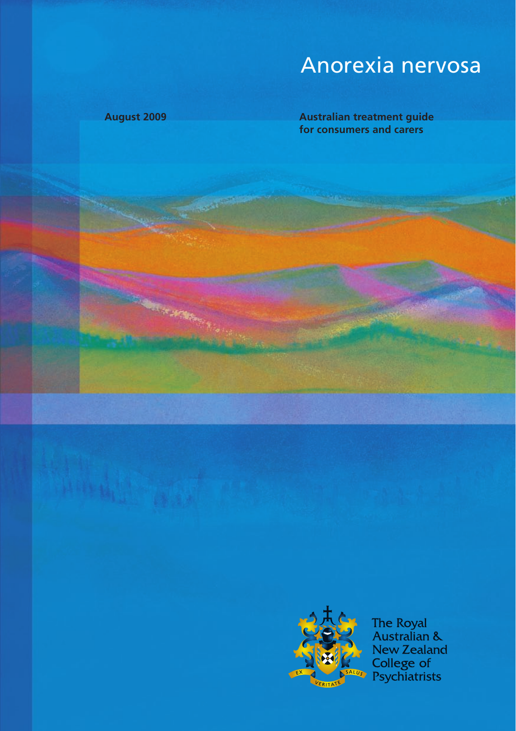# Anorexia nervosa

**August 2009 Australian treatment guide for consumers and carers**



The Royal<br>Australian & **New Zealand** College of<br>Psychiatrists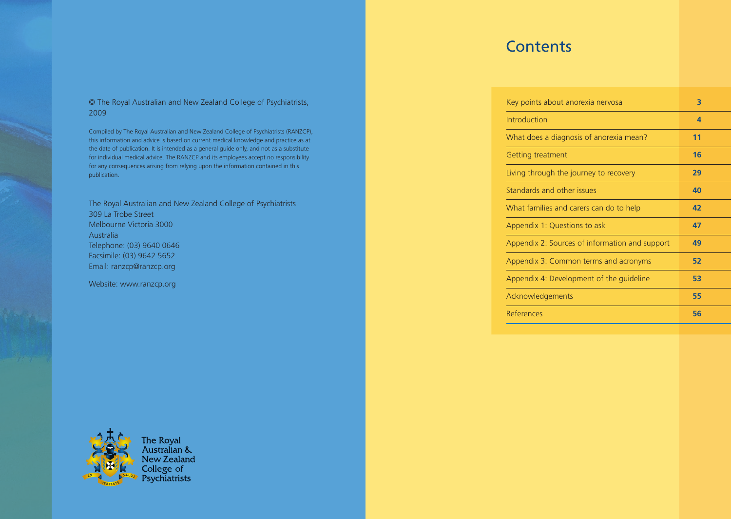#### © The Royal Australian and New Zealand College of Psychiatrists, 2009

Compiled by The Royal Australian and New Zealand College of Psychiatrists (RANZCP), this information and advice is based on current medical knowledge and practice as at the date of publication. It is intended as a general guide only, and not as a substitute for individual medical advice. The RANZCP and its employees accept no responsibility for any consequences arising from relying upon the information contained in this publication.

The Royal Australian and New Zealand College of Psychiatrists 309 La Trobe Street Melbourne Victoria 3000 Australia Telephone: (03) 9640 0646 Facsimile: (03) 9642 5652 Email: ranzcp@ranzcp.org

Website: www.ranzcp.org



The Royal<br>Australian & New Zealand College of<br>Psychiatrists

# **Contents**

| Key points about anorexia nervosa              | З  |
|------------------------------------------------|----|
| Introduction                                   | 4  |
| What does a diagnosis of anorexia mean?        | 11 |
| Getting treatment                              | 16 |
| Living through the journey to recovery         | 29 |
| Standards and other issues                     | 40 |
| What families and carers can do to help        | 42 |
| Appendix 1: Questions to ask                   | 47 |
| Appendix 2: Sources of information and support | 49 |
| Appendix 3: Common terms and acronyms          | 52 |
| Appendix 4: Development of the quideline       | 53 |
| Acknowledgements                               | 55 |
| References                                     | 56 |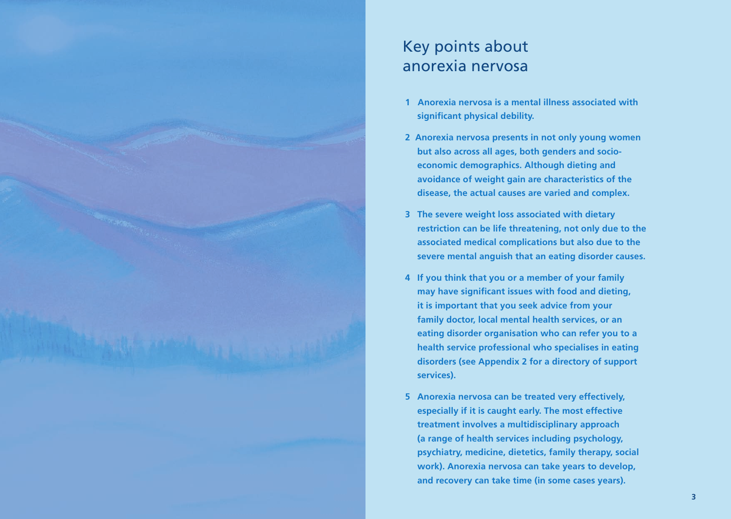

# Key points about anorexia nervosa

- **1 Anorexia nervosa is a mental illness associated with significant physical debility.**
- **2 Anorexia nervosa presents in not only young women but also across all ages, both genders and socioeconomic demographics. Although dieting and avoidance of weight gain are characteristics of the disease, the actual causes are varied and complex.**
- **3 The severe weight loss associated with dietary restriction can be life threatening, not only due to the associated medical complications but also due to the severe mental anguish that an eating disorder causes.**
- **4 If you think that you or a member of your family may have significant issues with food and dieting, it is important that you seek advice from your family doctor, local mental health services, or an eating disorder organisation who can refer you to a health service professional who specialises in eating disorders (see Appendix 2 for a directory of support services).**
- **5 Anorexia nervosa can be treated very effectively, especially if it is caught early. The most effective treatment involves a multidisciplinary approach (a range of health services including psychology, psychiatry, medicine, dietetics, family therapy, social work). Anorexia nervosa can take years to develop, and recovery can take time (in some cases years).**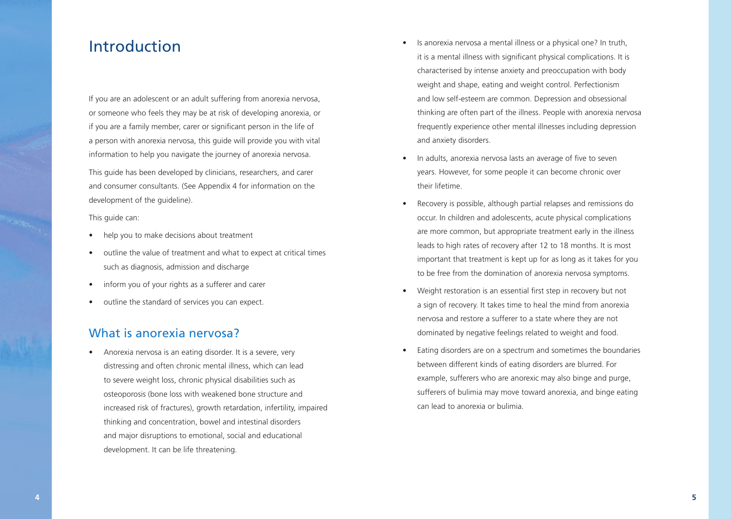# Introduction

If you are an adolescent or an adult suffering from anorexia nervosa, or someone who feels they may be at risk of developing anorexia, or if you are a family member, carer or significant person in the life of a person with anorexia nervosa, this guide will provide you with vital information to help you navigate the journey of anorexia nervosa. This guide has been developed by clinicians, researchers, and carer and consumer consultants. (See Appendix 4 for information on the

This guide can:

development of the guideline).

- help you to make decisions about treatment
- outline the value of treatment and what to expect at critical times such as diagnosis, admission and discharge
- inform you of your rights as a sufferer and carer
- outline the standard of services you can expect.

#### What is anorexia nervosa?

• Anorexia nervosa is an eating disorder. It is a severe, very distressing and often chronic mental illness, which can lead to severe weight loss, chronic physical disabilities such as osteoporosis (bone loss with weakened bone structure and increased risk of fractures), growth retardation, infertility, impaired thinking and concentration, bowel and intestinal disorders and major disruptions to emotional, social and educational development. It can be life threatening.

- Is anorexia nervosa a mental illness or a physical one? In truth, it is a mental illness with significant physical complications. It is characterised by intense anxiety and preoccupation with body weight and shape, eating and weight control. Perfectionism and low self-esteem are common. Depression and obsessional thinking are often part of the illness. People with anorexia nervosa frequently experience other mental illnesses including depression and anxiety disorders.
- In adults, anorexia nervosa lasts an average of five to seven years. However, for some people it can become chronic over their lifetime.
- Recovery is possible, although partial relapses and remissions do occur. In children and adolescents, acute physical complications are more common, but appropriate treatment early in the illness leads to high rates of recovery after 12 to 18 months. It is most important that treatment is kept up for as long as it takes for you to be free from the domination of anorexia nervosa symptoms.
- Weight restoration is an essential first step in recovery but not a sign of recovery. It takes time to heal the mind from anorexia nervosa and restore a sufferer to a state where they are not dominated by negative feelings related to weight and food.
- Eating disorders are on a spectrum and sometimes the boundaries between different kinds of eating disorders are blurred. For example, sufferers who are anorexic may also binge and purge, sufferers of bulimia may move toward anorexia, and binge eating can lead to anorexia or bulimia.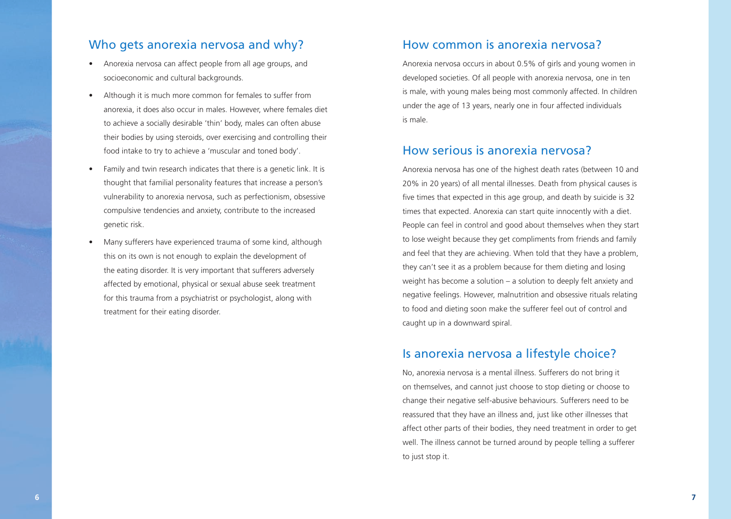#### Who gets anorexia nervosa and why?

- Anorexia nervosa can affect people from all age groups, and socioeconomic and cultural backgrounds.
- Although it is much more common for females to suffer from anorexia, it does also occur in males. However, where females diet to achieve a socially desirable 'thin' body, males can often abuse their bodies by using steroids, over exercising and controlling their food intake to try to achieve a 'muscular and toned body'.
- Family and twin research indicates that there is a genetic link. It is thought that familial personality features that increase a person's vulnerability to anorexia nervosa, such as perfectionism, obsessive compulsive tendencies and anxiety, contribute to the increased genetic risk.
- Many sufferers have experienced trauma of some kind, although this on its own is not enough to explain the development of the eating disorder. It is very important that sufferers adversely affected by emotional, physical or sexual abuse seek treatment for this trauma from a psychiatrist or psychologist, along with treatment for their eating disorder.

#### How common is anorexia nervosa?

Anorexia nervosa occurs in about 0.5% of girls and young women in developed societies. Of all people with anorexia nervosa, one in ten is male, with young males being most commonly affected. In children under the age of 13 years, nearly one in four affected individuals is male.

#### How serious is anorexia nervosa?

Anorexia nervosa has one of the highest death rates (between 10 and 20% in 20 years) of all mental illnesses. Death from physical causes is five times that expected in this age group, and death by suicide is 32 times that expected. Anorexia can start quite innocently with a diet. People can feel in control and good about themselves when they start to lose weight because they get compliments from friends and family and feel that they are achieving. When told that they have a problem, they can't see it as a problem because for them dieting and losing weight has become a solution – a solution to deeply felt anxiety and negative feelings. However, malnutrition and obsessive rituals relating to food and dieting soon make the sufferer feel out of control and caught up in a downward spiral.

#### Is anorexia nervosa a lifestyle choice?

No, anorexia nervosa is a mental illness. Sufferers do not bring it on themselves, and cannot just choose to stop dieting or choose to change their negative self-abusive behaviours. Sufferers need to be reassured that they have an illness and, just like other illnesses that affect other parts of their bodies, they need treatment in order to get well. The illness cannot be turned around by people telling a sufferer to just stop it.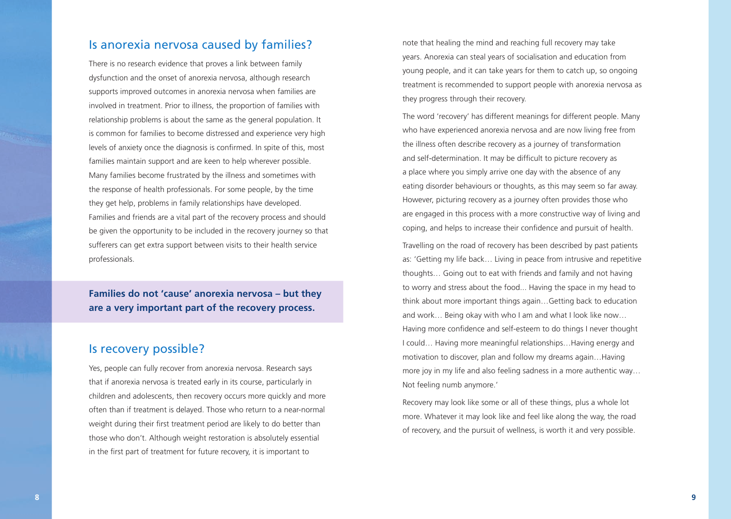#### Is anorexia nervosa caused by families?

There is no research evidence that proves a link between family dysfunction and the onset of anorexia nervosa, although research supports improved outcomes in anorexia nervosa when families are involved in treatment. Prior to illness, the proportion of families with relationship problems is about the same as the general population. It is common for families to become distressed and experience very high levels of anxiety once the diagnosis is confirmed. In spite of this, most families maintain support and are keen to help wherever possible. Many families become frustrated by the illness and sometimes with the response of health professionals. For some people, by the time they get help, problems in family relationships have developed. Families and friends are a vital part of the recovery process and should be given the opportunity to be included in the recovery journey so that sufferers can get extra support between visits to their health service professionals.

**Families do not 'cause' anorexia nervosa – but they are a very important part of the recovery process.**

#### Is recovery possible?

Yes, people can fully recover from anorexia nervosa. Research says that if anorexia nervosa is treated early in its course, particularly in children and adolescents, then recovery occurs more quickly and more often than if treatment is delayed. Those who return to a near-normal weight during their first treatment period are likely to do better than those who don't. Although weight restoration is absolutely essential in the first part of treatment for future recovery, it is important to

note that healing the mind and reaching full recovery may take years. Anorexia can steal years of socialisation and education from young people, and it can take years for them to catch up, so ongoing treatment is recommended to support people with anorexia nervosa as they progress through their recovery.

The word 'recovery' has different meanings for different people. Many who have experienced anorexia nervosa and are now living free from the illness often describe recovery as a journey of transformation and self-determination. It may be difficult to picture recovery as a place where you simply arrive one day with the absence of any eating disorder behaviours or thoughts, as this may seem so far away. However, picturing recovery as a journey often provides those who are engaged in this process with a more constructive way of living and coping, and helps to increase their confidence and pursuit of health.

Travelling on the road of recovery has been described by past patients as: 'Getting my life back… Living in peace from intrusive and repetitive thoughts… Going out to eat with friends and family and not having to worry and stress about the food... Having the space in my head to think about more important things again…Getting back to education and work… Being okay with who I am and what I look like now… Having more confidence and self-esteem to do things I never thought I could… Having more meaningful relationships…Having energy and motivation to discover, plan and follow my dreams again…Having more joy in my life and also feeling sadness in a more authentic way… Not feeling numb anymore.'

Recovery may look like some or all of these things, plus a whole lot more. Whatever it may look like and feel like along the way, the road of recovery, and the pursuit of wellness, is worth it and very possible.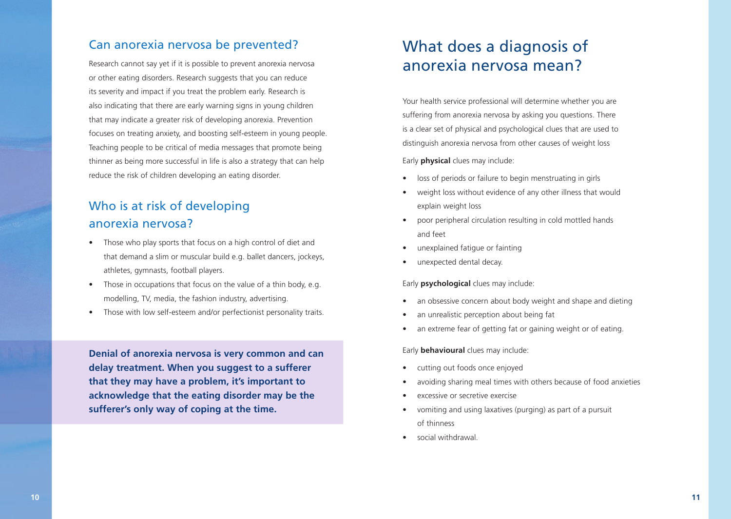#### Can anorexia nervosa be prevented?

Research cannot say yet if it is possible to prevent anorexia nervosa or other eating disorders. Research suggests that you can reduce its severity and impact if you treat the problem early. Research is also indicating that there are early warning signs in young children that may indicate a greater risk of developing anorexia. Prevention focuses on treating anxiety, and boosting self-esteem in young people. Teaching people to be critical of media messages that promote being thinner as being more successful in life is also a strategy that can help reduce the risk of children developing an eating disorder.

## Who is at risk of developing anorexia nervosa?

- Those who play sports that focus on a high control of diet and that demand a slim or muscular build e.g. ballet dancers, jockeys, athletes, gymnasts, football players.
- Those in occupations that focus on the value of a thin body, e.g. modelling, TV, media, the fashion industry, advertising.
- Those with low self-esteem and/or perfectionist personality traits.

**Denial of anorexia nervosa is very common and can delay treatment. When you suggest to a sufferer that they may have a problem, it's important to acknowledge that the eating disorder may be the sufferer's only way of coping at the time.** 

# What does a diagnosis of anorexia nervosa mean?

Your health service professional will determine whether you are suffering from anorexia nervosa by asking you questions. There is a clear set of physical and psychological clues that are used to distinguish anorexia nervosa from other causes of weight loss

Early **physical** clues may include:

- loss of periods or failure to begin menstruating in girls
- weight loss without evidence of any other illness that would explain weight loss
- poor peripheral circulation resulting in cold mottled hands and feet
- unexplained fatigue or fainting
- unexpected dental decay.

Early **psychological** clues may include:

- an obsessive concern about body weight and shape and dieting
- an unrealistic perception about being fat
- an extreme fear of getting fat or gaining weight or of eating.

Early **behavioural** clues may include:

- cutting out foods once enjoyed
- avoiding sharing meal times with others because of food anxieties
- excessive or secretive exercise
- vomiting and using laxatives (purging) as part of a pursuit of thinness
- social withdrawal.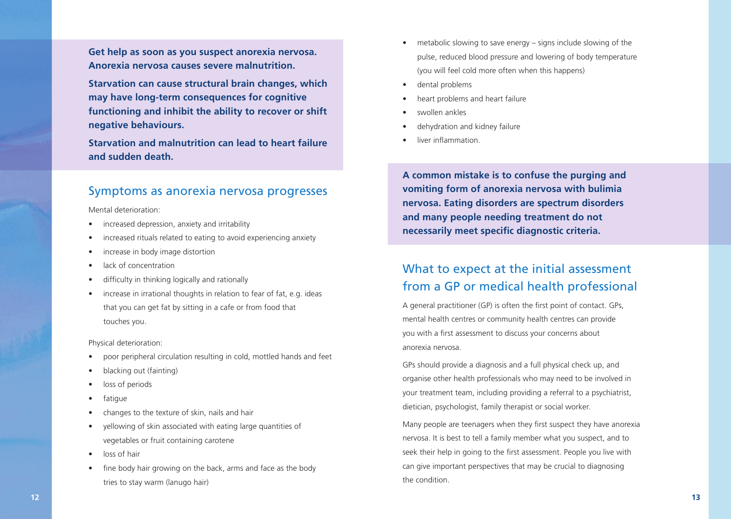**Get help as soon as you suspect anorexia nervosa. Anorexia nervosa causes severe malnutrition.**

**Starvation can cause structural brain changes, which may have long-term consequences for cognitive functioning and inhibit the ability to recover or shift negative behaviours.**

**Starvation and malnutrition can lead to heart failure and sudden death.**

#### Symptoms as anorexia nervosa progresses

Mental deterioration:

- increased depression, anxiety and irritability
- increased rituals related to eating to avoid experiencing anxiety
- increase in body image distortion
- lack of concentration
- difficulty in thinking logically and rationally
- increase in irrational thoughts in relation to fear of fat, e.g. ideas that you can get fat by sitting in a cafe or from food that touches you.

Physical deterioration:

- poor peripheral circulation resulting in cold, mottled hands and feet
- blacking out (fainting)
- loss of periods
- fatique
- changes to the texture of skin, nails and hair
- yellowing of skin associated with eating large quantities of vegetables or fruit containing carotene
- loss of hair
- fine body hair growing on the back, arms and face as the body tries to stay warm (lanugo hair)
- metabolic slowing to save energy signs include slowing of the pulse, reduced blood pressure and lowering of body temperature (you will feel cold more often when this happens)
- dental problems
- heart problems and heart failure
- swollen ankles
- dehydration and kidney failure
- liver inflammation.

**A common mistake is to confuse the purging and vomiting form of anorexia nervosa with bulimia nervosa. Eating disorders are spectrum disorders and many people needing treatment do not necessarily meet specific diagnostic criteria.**

## What to expect at the initial assessment from a GP or medical health professional

A general practitioner (GP) is often the first point of contact. GPs, mental health centres or community health centres can provide you with a first assessment to discuss your concerns about anorexia nervosa.

GPs should provide a diagnosis and a full physical check up, and organise other health professionals who may need to be involved in your treatment team, including providing a referral to a psychiatrist, dietician, psychologist, family therapist or social worker.

Many people are teenagers when they first suspect they have anorexia nervosa. It is best to tell a family member what you suspect, and to seek their help in going to the first assessment. People you live with can give important perspectives that may be crucial to diagnosing the condition.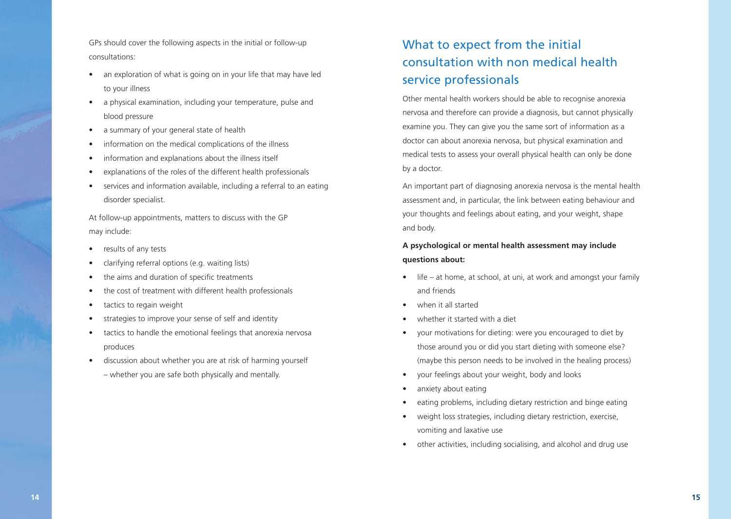GPs should cover the following aspects in the initial or follow-up consultations:

- an exploration of what is going on in your life that may have led to your illness
- a physical examination, including your temperature, pulse and blood pressure
- a summary of your general state of health
- information on the medical complications of the illness
- information and explanations about the illness itself
- explanations of the roles of the different health professionals
- services and information available, including a referral to an eating disorder specialist.

At follow-up appointments, matters to discuss with the GP may include:

- results of any tests
- clarifying referral options (e.g. waiting lists)
- the aims and duration of specific treatments
- the cost of treatment with different health professionals
- tactics to regain weight
- strategies to improve your sense of self and identity
- tactics to handle the emotional feelings that anorexia nervosa produces
- discussion about whether you are at risk of harming yourself – whether you are safe both physically and mentally.

# What to expect from the initial consultation with non medical health service professionals

Other mental health workers should be able to recognise anorexia nervosa and therefore can provide a diagnosis, but cannot physically examine you. They can give you the same sort of information as a doctor can about anorexia nervosa, but physical examination and medical tests to assess your overall physical health can only be done by a doctor.

An important part of diagnosing anorexia nervosa is the mental health assessment and, in particular, the link between eating behaviour and your thoughts and feelings about eating, and your weight, shape and body.

#### **A psychological or mental health assessment may include questions about:**

- life at home, at school, at uni, at work and amongst your family and friends
- when it all started
- whether it started with a diet
- your motivations for dieting: were you encouraged to diet by those around you or did you start dieting with someone else? (maybe this person needs to be involved in the healing process)
- your feelings about your weight, body and looks
- anxiety about eating
- eating problems, including dietary restriction and binge eating
- weight loss strategies, including dietary restriction, exercise, vomiting and laxative use
- other activities, including socialising, and alcohol and drug use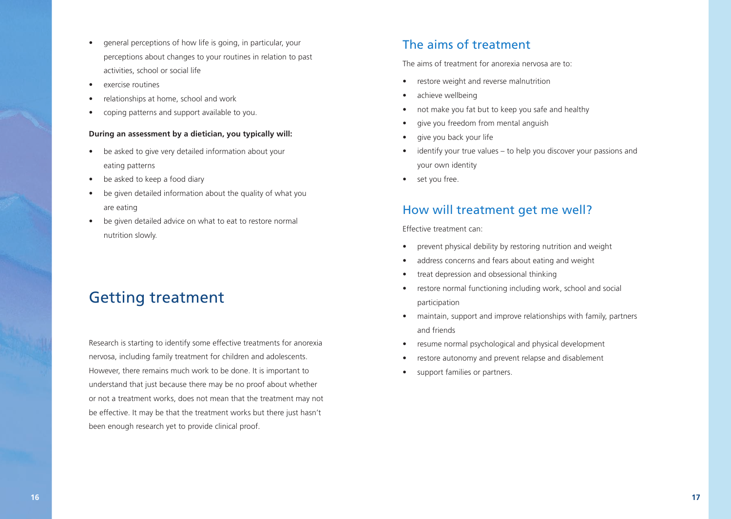- general perceptions of how life is going, in particular, your perceptions about changes to your routines in relation to past activities, school or social life
- exercise routines
- relationships at home, school and work
- coping patterns and support available to you.

#### **During an assessment by a dietician, you typically will:**

- be asked to give very detailed information about your eating patterns
- be asked to keep a food diary
- be given detailed information about the quality of what you are eating
- be given detailed advice on what to eat to restore normal nutrition slowly.

# Getting treatment

Research is starting to identify some effective treatments for anorexia nervosa, including family treatment for children and adolescents. However, there remains much work to be done. It is important to understand that just because there may be no proof about whether or not a treatment works, does not mean that the treatment may not be effective. It may be that the treatment works but there just hasn't been enough research yet to provide clinical proof.

#### The aims of treatment

The aims of treatment for anorexia nervosa are to:

- restore weight and reverse malnutrition
- achieve wellbeing
- not make you fat but to keep you safe and healthy
- give you freedom from mental anguish
- give you back your life
- identify your true values to help you discover your passions and your own identity
- set you free.

#### How will treatment get me well?

Effective treatment can:

- prevent physical debility by restoring nutrition and weight
- address concerns and fears about eating and weight
- treat depression and obsessional thinking
- restore normal functioning including work, school and social participation
- maintain, support and improve relationships with family, partners and friends
- resume normal psychological and physical development
- restore autonomy and prevent relapse and disablement
- support families or partners.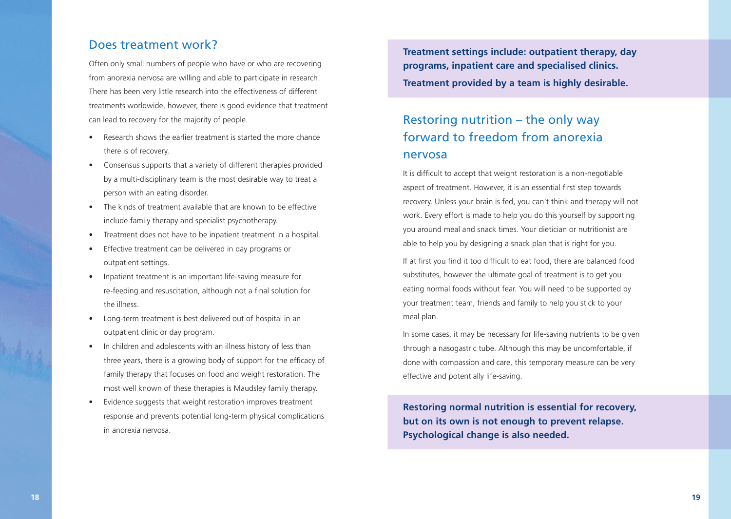#### Does treatment work?

Often only small numbers of people who have or who are recovering from anorexia nervosa are willing and able to participate in research. There has been very little research into the effectiveness of different treatments worldwide, however, there is good evidence that treatment can lead to recovery for the majority of people.

- Research shows the earlier treatment is started the more chance there is of recovery.
- Consensus supports that a variety of different therapies provided by a multi-disciplinary team is the most desirable way to treat a person with an eating disorder.
- The kinds of treatment available that are known to be effective include family therapy and specialist psychotherapy.
- Treatment does not have to be inpatient treatment in a hospital.
- Effective treatment can be delivered in day programs or outpatient settings.
- Inpatient treatment is an important life-saving measure for re-feeding and resuscitation, although not a final solution for the illness.
- Long-term treatment is best delivered out of hospital in an outpatient clinic or day program.
- In children and adolescents with an illness history of less than three years, there is a growing body of support for the efficacy of family therapy that focuses on food and weight restoration. The most well known of these therapies is Maudsley family therapy.
- Evidence suggests that weight restoration improves treatment response and prevents potential long-term physical complications in anorexia nervosa.

**Treatment settings include: outpatient therapy, day programs, inpatient care and specialised clinics. Treatment provided by a team is highly desirable.**

## Restoring nutrition – the only way forward to freedom from anorexia nervosa

It is difficult to accept that weight restoration is a non-negotiable aspect of treatment. However, it is an essential first step towards recovery. Unless your brain is fed, you can't think and therapy will not work. Every effort is made to help you do this yourself by supporting you around meal and snack times. Your dietician or nutritionist are able to help you by designing a snack plan that is right for you.

If at first you find it too difficult to eat food, there are balanced food substitutes, however the ultimate goal of treatment is to get you eating normal foods without fear. You will need to be supported by your treatment team, friends and family to help you stick to your meal plan.

In some cases, it may be necessary for life-saving nutrients to be given through a nasogastric tube. Although this may be uncomfortable, if done with compassion and care, this temporary measure can be very effective and potentially life-saving.

**Restoring normal nutrition is essential for recovery, but on its own is not enough to prevent relapse. Psychological change is also needed.**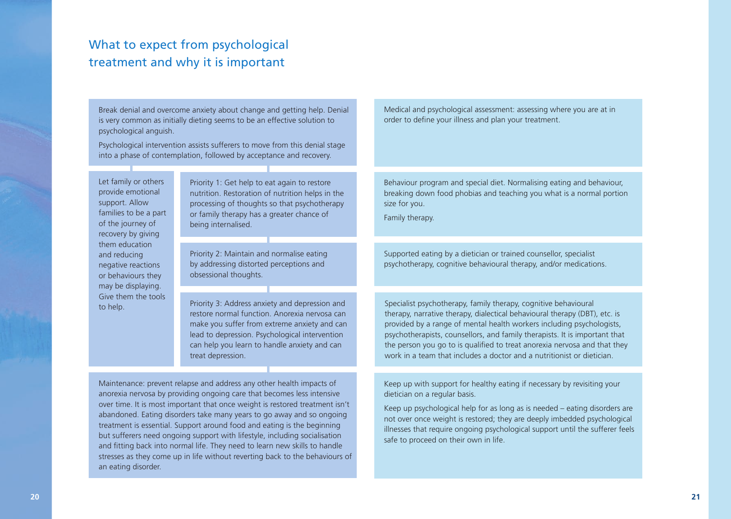## What to expect from psychological treatment and why it is important

Break denial and overcome anxiety about change and getting help. Denial is very common as initially dieting seems to be an effective solution to psychological anguish.

Psychological intervention assists sufferers to move from this denial stage into a phase of contemplation, followed by acceptance and recovery.

Let family or others provide emotional support. Allow families to be a part of the journey of recovery by giving them education and reducing negative reactions or behaviours they may be displaying. Give them the tools to help.

Priority 1: Get help to eat again to restore nutrition. Restoration of nutrition helps in the processing of thoughts so that psychotherapy or family therapy has a greater chance of being internalised.

Priority 2: Maintain and normalise eating by addressing distorted perceptions and obsessional thoughts.

Priority 3: Address anxiety and depression and restore normal function. Anorexia nervosa can make you suffer from extreme anxiety and can lead to depression. Psychological intervention can help you learn to handle anxiety and can treat depression.

Maintenance: prevent relapse and address any other health impacts of anorexia nervosa by providing ongoing care that becomes less intensive over time. It is most important that once weight is restored treatment isn't abandoned. Eating disorders take many years to go away and so ongoing treatment is essential. Support around food and eating is the beginning but sufferers need ongoing support with lifestyle, including socialisation and fitting back into normal life. They need to learn new skills to handle stresses as they come up in life without reverting back to the behaviours of an eating disorder.

Medical and psychological assessment: assessing where you are at in order to define your illness and plan your treatment.

Behaviour program and special diet. Normalising eating and behaviour, breaking down food phobias and teaching you what is a normal portion size for you.

Family therapy.

Supported eating by a dietician or trained counsellor, specialist psychotherapy, cognitive behavioural therapy, and/or medications.

Specialist psychotherapy, family therapy, cognitive behavioural therapy, narrative therapy, dialectical behavioural therapy (DBT), etc. is provided by a range of mental health workers including psychologists, psychotherapists, counsellors, and family therapists. It is important that the person you go to is qualified to treat anorexia nervosa and that they work in a team that includes a doctor and a nutritionist or dietician.

Keep up with support for healthy eating if necessary by revisiting your dietician on a regular basis.

Keep up psychological help for as long as is needed – eating disorders are not over once weight is restored; they are deeply imbedded psychological illnesses that require ongoing psychological support until the sufferer feels safe to proceed on their own in life.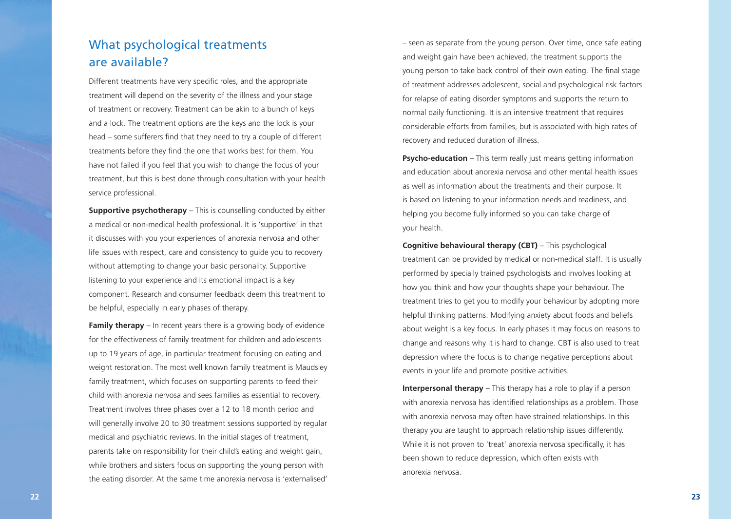## What psychological treatments are available?

Different treatments have very specific roles, and the appropriate treatment will depend on the severity of the illness and your stage of treatment or recovery. Treatment can be akin to a bunch of keys and a lock. The treatment options are the keys and the lock is your head – some sufferers find that they need to try a couple of different treatments before they find the one that works best for them. You have not failed if you feel that you wish to change the focus of your treatment, but this is best done through consultation with your health service professional.

**Supportive psychotherapy** – This is counselling conducted by either a medical or non-medical health professional. It is 'supportive' in that it discusses with you your experiences of anorexia nervosa and other life issues with respect, care and consistency to guide you to recovery without attempting to change your basic personality. Supportive listening to your experience and its emotional impact is a key component. Research and consumer feedback deem this treatment to be helpful, especially in early phases of therapy.

**Family therapy** – In recent years there is a growing body of evidence for the effectiveness of family treatment for children and adolescents up to 19 years of age, in particular treatment focusing on eating and weight restoration. The most well known family treatment is Maudsley family treatment, which focuses on supporting parents to feed their child with anorexia nervosa and sees families as essential to recovery. Treatment involves three phases over a 12 to 18 month period and will generally involve 20 to 30 treatment sessions supported by regular medical and psychiatric reviews. In the initial stages of treatment, parents take on responsibility for their child's eating and weight gain, while brothers and sisters focus on supporting the young person with the eating disorder. At the same time anorexia nervosa is 'externalised'

– seen as separate from the young person. Over time, once safe eating and weight gain have been achieved, the treatment supports the young person to take back control of their own eating. The final stage of treatment addresses adolescent, social and psychological risk factors for relapse of eating disorder symptoms and supports the return to normal daily functioning. It is an intensive treatment that requires considerable efforts from families, but is associated with high rates of recovery and reduced duration of illness.

**Psycho-education** – This term really just means getting information and education about anorexia nervosa and other mental health issues as well as information about the treatments and their purpose. It is based on listening to your information needs and readiness, and helping you become fully informed so you can take charge of your health.

**Cognitive behavioural therapy (CBT)** – This psychological treatment can be provided by medical or non-medical staff. It is usually performed by specially trained psychologists and involves looking at how you think and how your thoughts shape your behaviour. The treatment tries to get you to modify your behaviour by adopting more helpful thinking patterns. Modifying anxiety about foods and beliefs about weight is a key focus. In early phases it may focus on reasons to change and reasons why it is hard to change. CBT is also used to treat depression where the focus is to change negative perceptions about events in your life and promote positive activities.

**Interpersonal therapy** – This therapy has a role to play if a person with anorexia nervosa has identified relationships as a problem. Those with anorexia nervosa may often have strained relationships. In this therapy you are taught to approach relationship issues differently. While it is not proven to 'treat' anorexia nervosa specifically, it has been shown to reduce depression, which often exists with anorexia nervosa.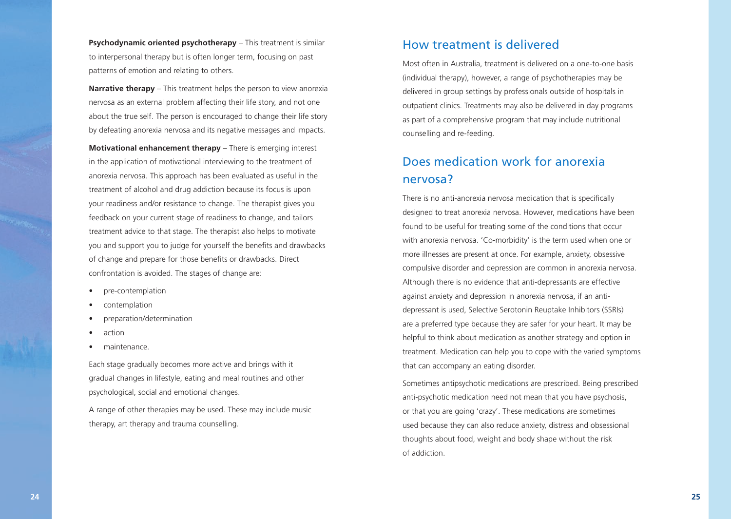**Psychodynamic oriented psychotherapy** – This treatment is similar to interpersonal therapy but is often longer term, focusing on past patterns of emotion and relating to others.

**Narrative therapy** – This treatment helps the person to view anorexia nervosa as an external problem affecting their life story, and not one about the true self. The person is encouraged to change their life story by defeating anorexia nervosa and its negative messages and impacts.

**Motivational enhancement therapy** – There is emerging interest in the application of motivational interviewing to the treatment of anorexia nervosa. This approach has been evaluated as useful in the treatment of alcohol and drug addiction because its focus is upon your readiness and/or resistance to change. The therapist gives you feedback on your current stage of readiness to change, and tailors treatment advice to that stage. The therapist also helps to motivate you and support you to judge for yourself the benefits and drawbacks of change and prepare for those benefits or drawbacks. Direct confrontation is avoided. The stages of change are:

- pre-contemplation
- contemplation
- preparation/determination
- action
- maintenance.

Each stage gradually becomes more active and brings with it gradual changes in lifestyle, eating and meal routines and other psychological, social and emotional changes.

A range of other therapies may be used. These may include music therapy, art therapy and trauma counselling.

#### How treatment is delivered

Most often in Australia, treatment is delivered on a one-to-one basis (individual therapy), however, a range of psychotherapies may be delivered in group settings by professionals outside of hospitals in outpatient clinics. Treatments may also be delivered in day programs as part of a comprehensive program that may include nutritional counselling and re-feeding.

## Does medication work for anorexia nervosa?

There is no anti-anorexia nervosa medication that is specifically designed to treat anorexia nervosa. However, medications have been found to be useful for treating some of the conditions that occur with anorexia nervosa. 'Co-morbidity' is the term used when one or more illnesses are present at once. For example, anxiety, obsessive compulsive disorder and depression are common in anorexia nervosa. Although there is no evidence that anti-depressants are effective against anxiety and depression in anorexia nervosa, if an antidepressant is used, Selective Serotonin Reuptake Inhibitors (SSRIs) are a preferred type because they are safer for your heart. It may be helpful to think about medication as another strategy and option in treatment. Medication can help you to cope with the varied symptoms that can accompany an eating disorder.

Sometimes antipsychotic medications are prescribed. Being prescribed anti-psychotic medication need not mean that you have psychosis, or that you are going 'crazy'. These medications are sometimes used because they can also reduce anxiety, distress and obsessional thoughts about food, weight and body shape without the risk of addiction.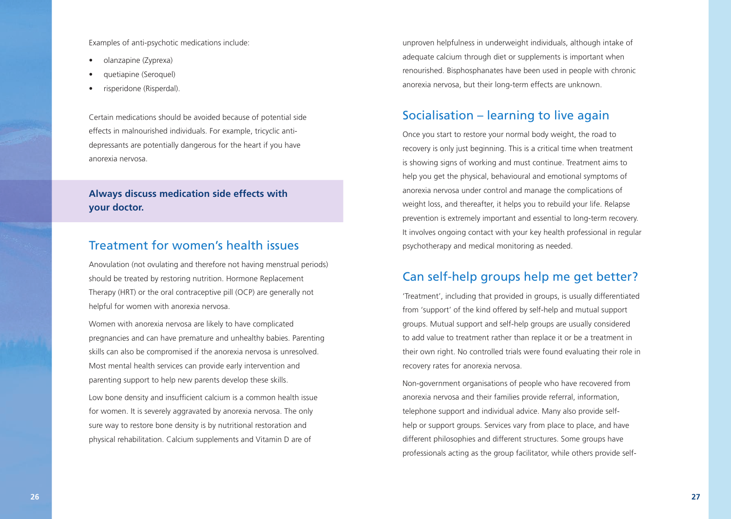Examples of anti-psychotic medications include:

- olanzapine (Zyprexa)
- quetiapine (Seroquel)
- risperidone (Risperdal).

Certain medications should be avoided because of potential side effects in malnourished individuals. For example, tricyclic antidepressants are potentially dangerous for the heart if you have anorexia nervosa.

#### **Always discuss medication side effects with your doctor.**

#### Treatment for women's health issues

Anovulation (not ovulating and therefore not having menstrual periods) should be treated by restoring nutrition. Hormone Replacement Therapy (HRT) or the oral contraceptive pill (OCP) are generally not helpful for women with anorexia nervosa.

Women with anorexia nervosa are likely to have complicated pregnancies and can have premature and unhealthy babies. Parenting skills can also be compromised if the anorexia nervosa is unresolved. Most mental health services can provide early intervention and parenting support to help new parents develop these skills.

Low bone density and insufficient calcium is a common health issue for women. It is severely aggravated by anorexia nervosa. The only sure way to restore bone density is by nutritional restoration and physical rehabilitation. Calcium supplements and Vitamin D are of

unproven helpfulness in underweight individuals, although intake of adequate calcium through diet or supplements is important when renourished. Bisphosphanates have been used in people with chronic anorexia nervosa, but their long-term effects are unknown.

#### Socialisation – learning to live again

Once you start to restore your normal body weight, the road to recovery is only just beginning. This is a critical time when treatment is showing signs of working and must continue. Treatment aims to help you get the physical, behavioural and emotional symptoms of anorexia nervosa under control and manage the complications of weight loss, and thereafter, it helps you to rebuild your life. Relapse prevention is extremely important and essential to long-term recovery. It involves ongoing contact with your key health professional in regular psychotherapy and medical monitoring as needed.

#### Can self-help groups help me get better?

'Treatment', including that provided in groups, is usually differentiated from 'support' of the kind offered by self-help and mutual support groups. Mutual support and self-help groups are usually considered to add value to treatment rather than replace it or be a treatment in their own right. No controlled trials were found evaluating their role in recovery rates for anorexia nervosa.

Non-government organisations of people who have recovered from anorexia nervosa and their families provide referral, information, telephone support and individual advice. Many also provide selfhelp or support groups. Services vary from place to place, and have different philosophies and different structures. Some groups have professionals acting as the group facilitator, while others provide self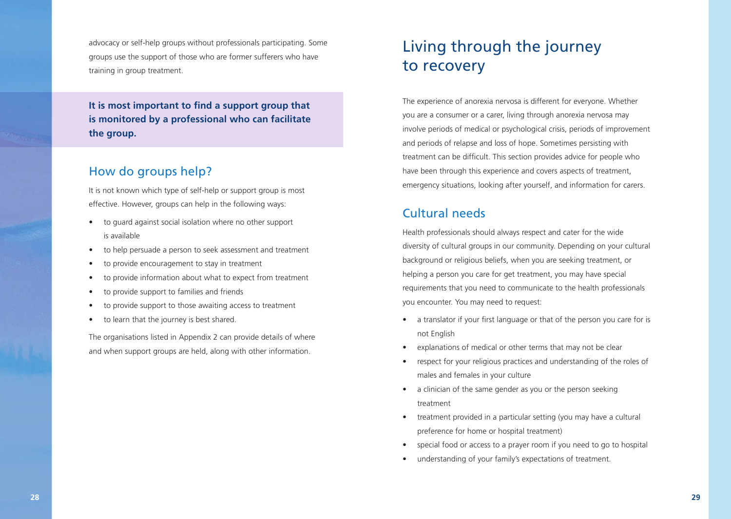advocacy or self-help groups without professionals participating. Some groups use the support of those who are former sufferers who have training in group treatment.

**It is most important to find a support group that is monitored by a professional who can facilitate the group.**

#### How do groups help?

It is not known which type of self-help or support group is most effective. However, groups can help in the following ways:

- to guard against social isolation where no other support is available
- to help persuade a person to seek assessment and treatment
- to provide encouragement to stay in treatment
- to provide information about what to expect from treatment
- to provide support to families and friends
- to provide support to those awaiting access to treatment
- to learn that the journey is best shared.

The organisations listed in Appendix 2 can provide details of where and when support groups are held, along with other information.

# Living through the journey to recovery

The experience of anorexia nervosa is different for everyone. Whether you are a consumer or a carer, living through anorexia nervosa may involve periods of medical or psychological crisis, periods of improvement and periods of relapse and loss of hope. Sometimes persisting with treatment can be difficult. This section provides advice for people who have been through this experience and covers aspects of treatment, emergency situations, looking after yourself, and information for carers.

### Cultural needs

Health professionals should always respect and cater for the wide diversity of cultural groups in our community. Depending on your cultural background or religious beliefs, when you are seeking treatment, or helping a person you care for get treatment, you may have special requirements that you need to communicate to the health professionals you encounter. You may need to request:

- a translator if your first language or that of the person you care for is not English
- explanations of medical or other terms that may not be clear
- respect for your religious practices and understanding of the roles of males and females in your culture
- a clinician of the same gender as you or the person seeking treatment
- treatment provided in a particular setting (you may have a cultural preference for home or hospital treatment)
- special food or access to a prayer room if you need to go to hospital
- understanding of your family's expectations of treatment.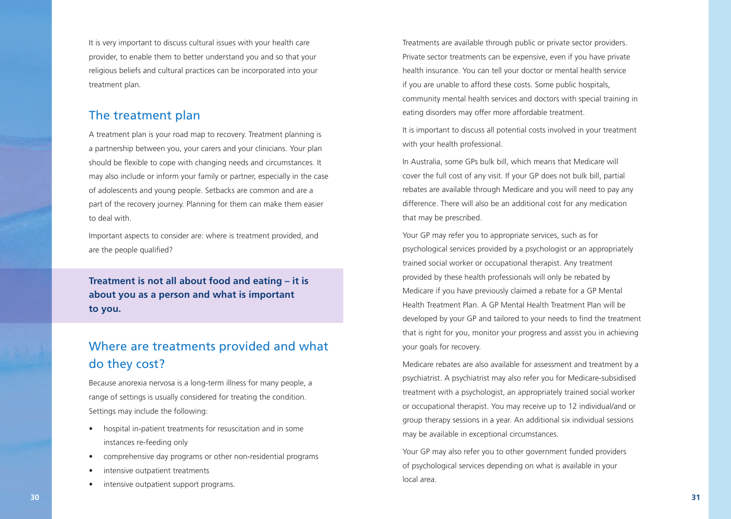It is very important to discuss cultural issues with your health care provider, to enable them to better understand you and so that your religious beliefs and cultural practices can be incorporated into your treatment plan.

#### The treatment plan

A treatment plan is your road map to recovery. Treatment planning is a partnership between you, your carers and your clinicians. Your plan should be flexible to cope with changing needs and circumstances. It may also include or inform your family or partner, especially in the case of adolescents and young people. Setbacks are common and are a part of the recovery journey. Planning for them can make them easier to deal with.

Important aspects to consider are: where is treatment provided, and are the people qualified?

**Treatment is not all about food and eating – it is about you as a person and what is important to you.** 

## Where are treatments provided and what do they cost?

Because anorexia nervosa is a long-term illness for many people, a range of settings is usually considered for treating the condition. Settings may include the following:

- hospital in-patient treatments for resuscitation and in some instances re-feeding only
- comprehensive day programs or other non-residential programs
- intensive outpatient treatments
- intensive outpatient support programs.

Treatments are available through public or private sector providers. Private sector treatments can be expensive, even if you have private health insurance. You can tell your doctor or mental health service if you are unable to afford these costs. Some public hospitals, community mental health services and doctors with special training in eating disorders may offer more affordable treatment.

It is important to discuss all potential costs involved in your treatment with your health professional.

In Australia, some GPs bulk bill, which means that Medicare will cover the full cost of any visit. If your GP does not bulk bill, partial rebates are available through Medicare and you will need to pay any difference. There will also be an additional cost for any medication that may be prescribed.

Your GP may refer you to appropriate services, such as for psychological services provided by a psychologist or an appropriately trained social worker or occupational therapist. Any treatment provided by these health professionals will only be rebated by Medicare if you have previously claimed a rebate for a GP Mental Health Treatment Plan. A GP Mental Health Treatment Plan will be developed by your GP and tailored to your needs to find the treatment that is right for you, monitor your progress and assist you in achieving your goals for recovery.

Medicare rebates are also available for assessment and treatment by a psychiatrist. A psychiatrist may also refer you for Medicare-subsidised treatment with a psychologist, an appropriately trained social worker or occupational therapist. You may receive up to 12 individual/and or group therapy sessions in a year. An additional six individual sessions may be available in exceptional circumstances.

Your GP may also refer you to other government funded providers of psychological services depending on what is available in your local area.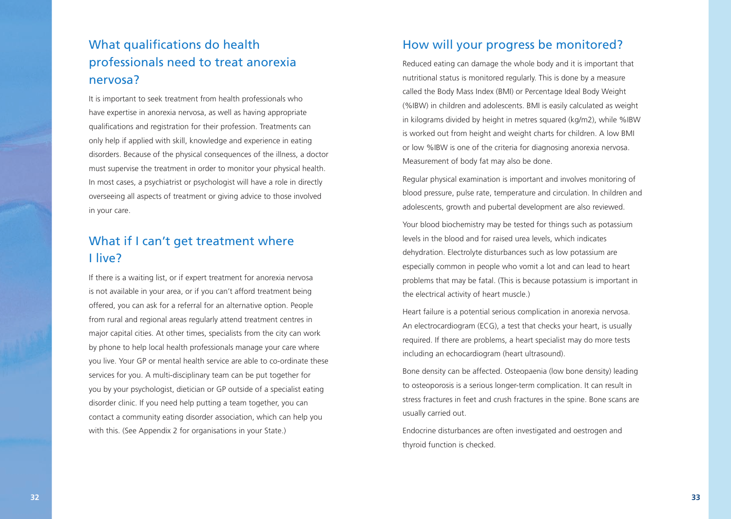## What qualifications do health professionals need to treat anorexia nervosa?

It is important to seek treatment from health professionals who have expertise in anorexia nervosa, as well as having appropriate qualifications and registration for their profession. Treatments can only help if applied with skill, knowledge and experience in eating disorders. Because of the physical consequences of the illness, a doctor must supervise the treatment in order to monitor your physical health. In most cases, a psychiatrist or psychologist will have a role in directly overseeing all aspects of treatment or giving advice to those involved in your care.

## What if I can't get treatment where I live?

If there is a waiting list, or if expert treatment for anorexia nervosa is not available in your area, or if you can't afford treatment being offered, you can ask for a referral for an alternative option. People from rural and regional areas regularly attend treatment centres in major capital cities. At other times, specialists from the city can work by phone to help local health professionals manage your care where you live. Your GP or mental health service are able to co-ordinate these services for you. A multi-disciplinary team can be put together for you by your psychologist, dietician or GP outside of a specialist eating disorder clinic. If you need help putting a team together, you can contact a community eating disorder association, which can help you with this. (See Appendix 2 for organisations in your State.)

#### How will your progress be monitored?

Reduced eating can damage the whole body and it is important that nutritional status is monitored regularly. This is done by a measure called the Body Mass Index (BMI) or Percentage Ideal Body Weight (%IBW) in children and adolescents. BMI is easily calculated as weight in kilograms divided by height in metres squared (kg/m2), while %IBW is worked out from height and weight charts for children. A low BMI or low %IBW is one of the criteria for diagnosing anorexia nervosa. Measurement of body fat may also be done.

Regular physical examination is important and involves monitoring of blood pressure, pulse rate, temperature and circulation. In children and adolescents, growth and pubertal development are also reviewed.

Your blood biochemistry may be tested for things such as potassium levels in the blood and for raised urea levels, which indicates dehydration. Electrolyte disturbances such as low potassium are especially common in people who vomit a lot and can lead to heart problems that may be fatal. (This is because potassium is important in the electrical activity of heart muscle.)

Heart failure is a potential serious complication in anorexia nervosa. An electrocardiogram (ECG), a test that checks your heart, is usually required. If there are problems, a heart specialist may do more tests including an echocardiogram (heart ultrasound).

Bone density can be affected. Osteopaenia (low bone density) leading to osteoporosis is a serious longer-term complication. It can result in stress fractures in feet and crush fractures in the spine. Bone scans are usually carried out.

Endocrine disturbances are often investigated and oestrogen and thyroid function is checked.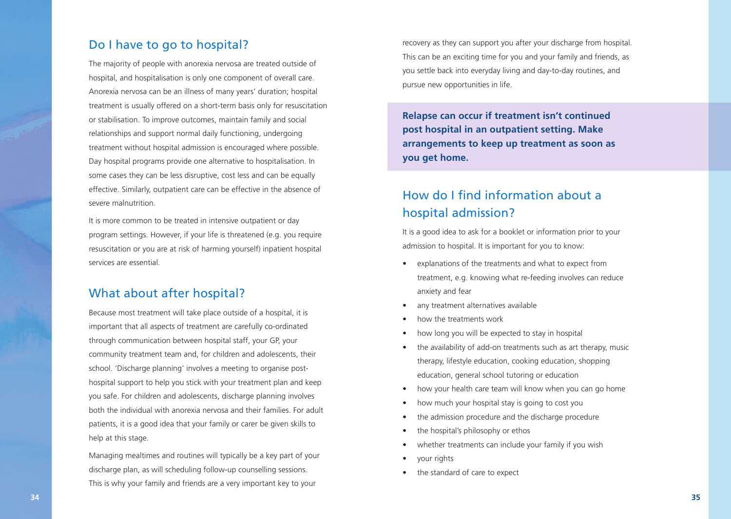#### Do I have to go to hospital?

The majority of people with anorexia nervosa are treated outside of hospital, and hospitalisation is only one component of overall care. Anorexia nervosa can be an illness of many years' duration; hospital treatment is usually offered on a short-term basis only for resuscitation or stabilisation. To improve outcomes, maintain family and social relationships and support normal daily functioning, undergoing treatment without hospital admission is encouraged where possible. Day hospital programs provide one alternative to hospitalisation. In some cases they can be less disruptive, cost less and can be equally effective. Similarly, outpatient care can be effective in the absence of severe malnutrition.

It is more common to be treated in intensive outpatient or day program settings. However, if your life is threatened (e.g. you require resuscitation or you are at risk of harming yourself) inpatient hospital services are essential.

#### What about after hospital?

Because most treatment will take place outside of a hospital, it is important that all aspects of treatment are carefully co-ordinated through communication between hospital staff, your GP, your community treatment team and, for children and adolescents, their school. 'Discharge planning' involves a meeting to organise posthospital support to help you stick with your treatment plan and keep you safe. For children and adolescents, discharge planning involves both the individual with anorexia nervosa and their families. For adult patients, it is a good idea that your family or carer be given skills to help at this stage.

Managing mealtimes and routines will typically be a key part of your discharge plan, as will scheduling follow-up counselling sessions. This is why your family and friends are a very important key to your

recovery as they can support you after your discharge from hospital. This can be an exciting time for you and your family and friends, as you settle back into everyday living and day-to-day routines, and pursue new opportunities in life.

**Relapse can occur if treatment isn't continued post hospital in an outpatient setting. Make arrangements to keep up treatment as soon as you get home.**

## How do I find information about a hospital admission?

It is a good idea to ask for a booklet or information prior to your admission to hospital. It is important for you to know:

- explanations of the treatments and what to expect from treatment, e.g. knowing what re-feeding involves can reduce anxiety and fear
- any treatment alternatives available
- how the treatments work
- how long you will be expected to stay in hospital
- the availability of add-on treatments such as art therapy, music therapy, lifestyle education, cooking education, shopping education, general school tutoring or education
- how your health care team will know when you can go home
- how much your hospital stay is going to cost you
- the admission procedure and the discharge procedure
- the hospital's philosophy or ethos
- whether treatments can include your family if you wish
- your rights
- the standard of care to expect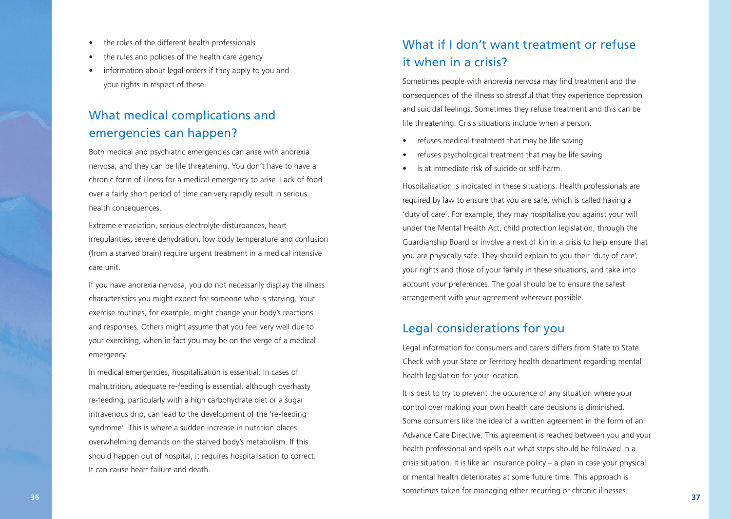- the roles of the different health professionals
- the rules and policies of the health care agency
- information about legal orders if they apply to you and your rights in respect of these.

## What medical complications and emergencies can happen?

Both medical and psychiatric emergencies can arise with anorexia nervosa, and they can be life threatening. You don't have to have a chronic form of illness for a medical emergency to arise. Lack of food over a fairly short period of time can very rapidly result in serious health consequences.

Extreme emaciation, serious electrolyte disturbances, heart irregularities, severe dehydration, low body temperature and confusion (from a starved brain) require urgent treatment in a medical intensive care unit.

If you have anorexia nervosa, you do not necessarily display the illness characteristics you might expect for someone who is starving. Your exercise routines, for example, might change your body's reactions and responses. Others might assume that you feel very well due to your exercising, when in fact you may be on the verge of a medical emergency.

In medical emergencies, hospitalisation is essential. In cases of malnutrition, adequate re-feeding is essential, although overhasty re-feeding, particularly with a high carbohydrate diet or a sugar intravenous drip, can lead to the development of the 're-feeding syndrome'. This is where a sudden increase in nutrition places overwhelming demands on the starved body's metabolism. If this should happen out of hospital, it requires hospitalisation to correct. It can cause heart failure and death.

## What if I don't want treatment or refuse it when in a crisis?

Sometimes people with anorexia nervosa may find treatment and the consequences of the illness so stressful that they experience depression and suicidal feelings. Sometimes they refuse treatment and this can be life threatening. Crisis situations include when a person:

- refuses medical treatment that may be life saving
- refuses psychological treatment that may be life saving
- is at immediate risk of suicide or self-harm.

Hospitalisation is indicated in these situations. Health professionals are required by law to ensure that you are safe, which is called having a 'duty of care'. For example, they may hospitalise you against your will under the Mental Health Act, child protection legislation, through the Guardianship Board or involve a next of kin in a crisis to help ensure that you are physically safe. They should explain to you their 'duty of care', your rights and those of your family in these situations, and take into account your preferences. The goal should be to ensure the safest arrangement with your agreement wherever possible.

#### Legal considerations for you

Legal information for consumers and carers differs from State to State. Check with your State or Territory health department regarding mental health legislation for your location.

It is best to try to prevent the occurence of any situation where your control over making your own health care decisions is diminished. Some consumers like the idea of a written agreement in the form of an Advance Care Directive. This agreement is reached between you and your health professional and spells out what steps should be followed in a crisis situation. It is like an insurance policy – a plan in case your physical or mental health deteriorates at some future time. This approach is sometimes taken for managing other recurring or chronic illnesses. **<sup>36</sup> <sup>37</sup>**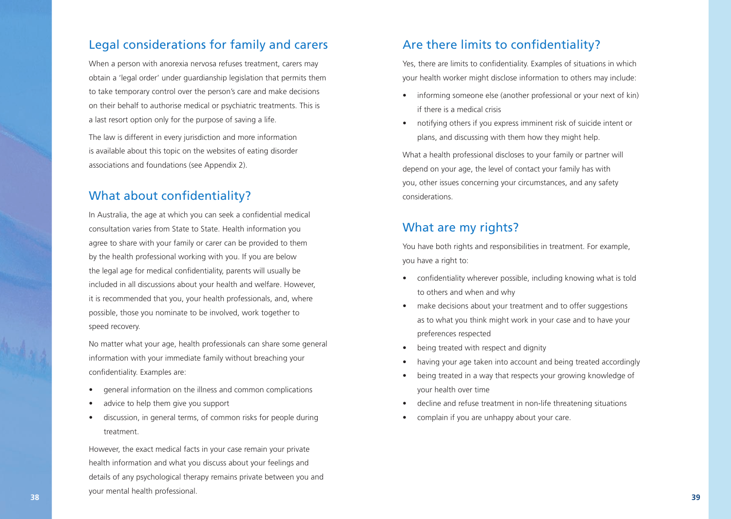#### Legal considerations for family and carers

When a person with anorexia nervosa refuses treatment, carers may obtain a 'legal order' under guardianship legislation that permits them to take temporary control over the person's care and make decisions on their behalf to authorise medical or psychiatric treatments. This is a last resort option only for the purpose of saving a life.

The law is different in every jurisdiction and more information is available about this topic on the websites of eating disorder associations and foundations (see Appendix 2).

#### What about confidentiality?

In Australia, the age at which you can seek a confidential medical consultation varies from State to State. Health information you agree to share with your family or carer can be provided to them by the health professional working with you. If you are below the legal age for medical confidentiality, parents will usually be included in all discussions about your health and welfare. However, it is recommended that you, your health professionals, and, where possible, those you nominate to be involved, work together to speed recovery.

No matter what your age, health professionals can share some general information with your immediate family without breaching your confidentiality. Examples are:

- general information on the illness and common complications
- advice to help them give you support
- discussion, in general terms, of common risks for people during treatment.

However, the exact medical facts in your case remain your private health information and what you discuss about your feelings and details of any psychological therapy remains private between you and your mental health professional. **38 39**

#### Are there limits to confidentiality?

Yes, there are limits to confidentiality. Examples of situations in which your health worker might disclose information to others may include:

- informing someone else (another professional or your next of kin) if there is a medical crisis
- notifying others if you express imminent risk of suicide intent or plans, and discussing with them how they might help.

What a health professional discloses to your family or partner will depend on your age, the level of contact your family has with you, other issues concerning your circumstances, and any safety considerations.

#### What are my rights?

You have both rights and responsibilities in treatment. For example, you have a right to:

- confidentiality wherever possible, including knowing what is told to others and when and why
- make decisions about your treatment and to offer suggestions as to what you think might work in your case and to have your preferences respected
- being treated with respect and dignity
- having your age taken into account and being treated accordingly
- being treated in a way that respects your growing knowledge of your health over time
- decline and refuse treatment in non-life threatening situations
- complain if you are unhappy about your care.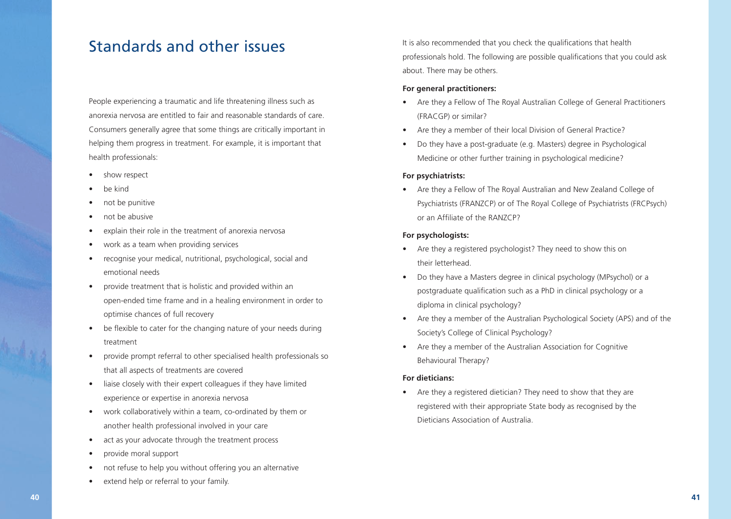# Standards and other issues

People experiencing a traumatic and life threatening illness such as anorexia nervosa are entitled to fair and reasonable standards of care. Consumers generally agree that some things are critically important in helping them progress in treatment. For example, it is important that health professionals:

- show respect
- be kind
- not be punitive
- not be abusive
- explain their role in the treatment of anorexia nervosa
- work as a team when providing services
- recognise your medical, nutritional, psychological, social and emotional needs
- provide treatment that is holistic and provided within an open-ended time frame and in a healing environment in order to optimise chances of full recovery
- be flexible to cater for the changing nature of your needs during treatment
- provide prompt referral to other specialised health professionals so that all aspects of treatments are covered
- liaise closely with their expert colleagues if they have limited experience or expertise in anorexia nervosa
- work collaboratively within a team, co-ordinated by them or another health professional involved in your care
- act as your advocate through the treatment process
- provide moral support
- not refuse to help you without offering you an alternative
- extend help or referral to your family.

It is also recommended that you check the qualifications that health professionals hold. The following are possible qualifications that you could ask about. There may be others.

#### **For general practitioners:**

- Are they a Fellow of The Royal Australian College of General Practitioners (FRACGP) or similar?
- Are they a member of their local Division of General Practice?
- Do they have a post-graduate (e.g. Masters) degree in Psychological Medicine or other further training in psychological medicine?

#### **For psychiatrists:**

• Are they a Fellow of The Royal Australian and New Zealand College of Psychiatrists (FRANZCP) or of The Royal College of Psychiatrists (FRCPsych) or an Affiliate of the RANZCP?

#### **For psychologists:**

- Are they a registered psychologist? They need to show this on their letterhead.
- Do they have a Masters degree in clinical psychology (MPsychol) or a postgraduate qualification such as a PhD in clinical psychology or a diploma in clinical psychology?
- Are they a member of the Australian Psychological Society (APS) and of the Society's College of Clinical Psychology?
- Are they a member of the Australian Association for Cognitive Behavioural Therapy?

#### **For dieticians:**

• Are they a registered dietician? They need to show that they are registered with their appropriate State body as recognised by the Dieticians Association of Australia.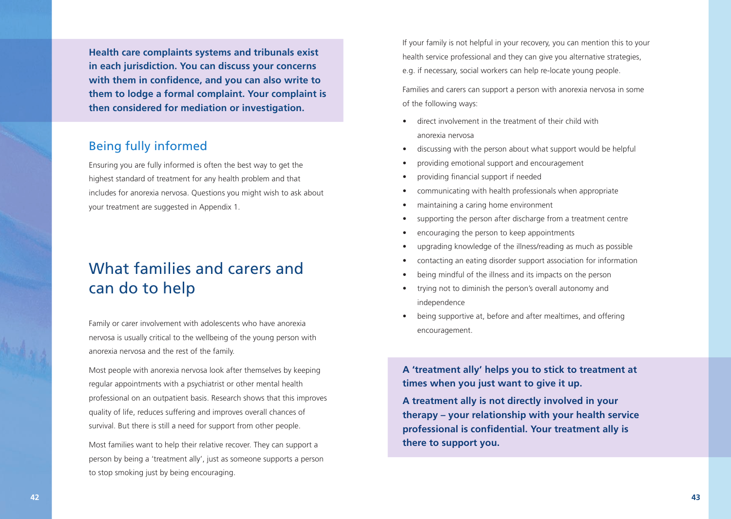**Health care complaints systems and tribunals exist in each jurisdiction. You can discuss your concerns with them in confidence, and you can also write to them to lodge a formal complaint. Your complaint is then considered for mediation or investigation.**

#### Being fully informed

Ensuring you are fully informed is often the best way to get the highest standard of treatment for any health problem and that includes for anorexia nervosa. Questions you might wish to ask about your treatment are suggested in Appendix 1.

# What families and carers and can do to help

Family or carer involvement with adolescents who have anorexia nervosa is usually critical to the wellbeing of the young person with anorexia nervosa and the rest of the family.

Most people with anorexia nervosa look after themselves by keeping regular appointments with a psychiatrist or other mental health professional on an outpatient basis. Research shows that this improves quality of life, reduces suffering and improves overall chances of survival. But there is still a need for support from other people.

Most families want to help their relative recover. They can support a person by being a 'treatment ally', just as someone supports a person to stop smoking just by being encouraging.

If your family is not helpful in your recovery, you can mention this to your health service professional and they can give you alternative strategies, e.g. if necessary, social workers can help re-locate young people.

Families and carers can support a person with anorexia nervosa in some of the following ways:

- direct involvement in the treatment of their child with anorexia nervosa
- discussing with the person about what support would be helpful
- providing emotional support and encouragement
- providing financial support if needed
- communicating with health professionals when appropriate
- maintaining a caring home environment
- supporting the person after discharge from a treatment centre
- encouraging the person to keep appointments
- upgrading knowledge of the illness/reading as much as possible
- contacting an eating disorder support association for information
- being mindful of the illness and its impacts on the person
- trying not to diminish the person's overall autonomy and independence
- being supportive at, before and after mealtimes, and offering encouragement.

**A 'treatment ally' helps you to stick to treatment at times when you just want to give it up.**

**A treatment ally is not directly involved in your therapy – your relationship with your health service professional is confidential. Your treatment ally is there to support you.**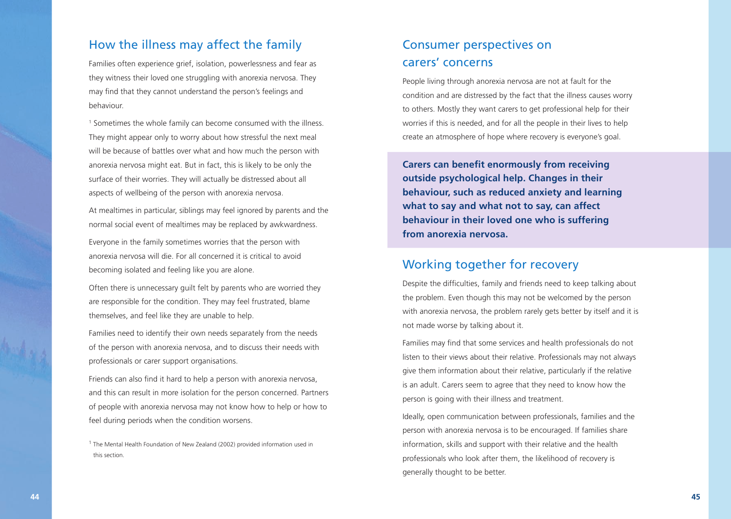#### How the illness may affect the family

Families often experience grief, isolation, powerlessness and fear as they witness their loved one struggling with anorexia nervosa. They may find that they cannot understand the person's feelings and behaviour.

<sup>1</sup> Sometimes the whole family can become consumed with the illness. They might appear only to worry about how stressful the next meal will be because of battles over what and how much the person with anorexia nervosa might eat. But in fact, this is likely to be only the surface of their worries. They will actually be distressed about all aspects of wellbeing of the person with anorexia nervosa.

At mealtimes in particular, siblings may feel ignored by parents and the normal social event of mealtimes may be replaced by awkwardness.

Everyone in the family sometimes worries that the person with anorexia nervosa will die. For all concerned it is critical to avoid becoming isolated and feeling like you are alone.

Often there is unnecessary guilt felt by parents who are worried they are responsible for the condition. They may feel frustrated, blame themselves, and feel like they are unable to help.

Families need to identify their own needs separately from the needs of the person with anorexia nervosa, and to discuss their needs with professionals or carer support organisations.

Friends can also find it hard to help a person with anorexia nervosa, and this can result in more isolation for the person concerned. Partners of people with anorexia nervosa may not know how to help or how to feel during periods when the condition worsens.

## Consumer perspectives on carers' concerns

People living through anorexia nervosa are not at fault for the condition and are distressed by the fact that the illness causes worry to others. Mostly they want carers to get professional help for their worries if this is needed, and for all the people in their lives to help create an atmosphere of hope where recovery is everyone's goal.

**Carers can benefit enormously from receiving outside psychological help. Changes in their behaviour, such as reduced anxiety and learning what to say and what not to say, can affect behaviour in their loved one who is suffering from anorexia nervosa.**

#### Working together for recovery

Despite the difficulties, family and friends need to keep talking about the problem. Even though this may not be welcomed by the person with anorexia nervosa, the problem rarely gets better by itself and it is not made worse by talking about it.

Families may find that some services and health professionals do not listen to their views about their relative. Professionals may not always give them information about their relative, particularly if the relative is an adult. Carers seem to agree that they need to know how the person is going with their illness and treatment.

Ideally, open communication between professionals, families and the person with anorexia nervosa is to be encouraged. If families share information, skills and support with their relative and the health professionals who look after them, the likelihood of recovery is generally thought to be better.

<sup>&</sup>lt;sup>1</sup> The Mental Health Foundation of New Zealand (2002) provided information used in this section.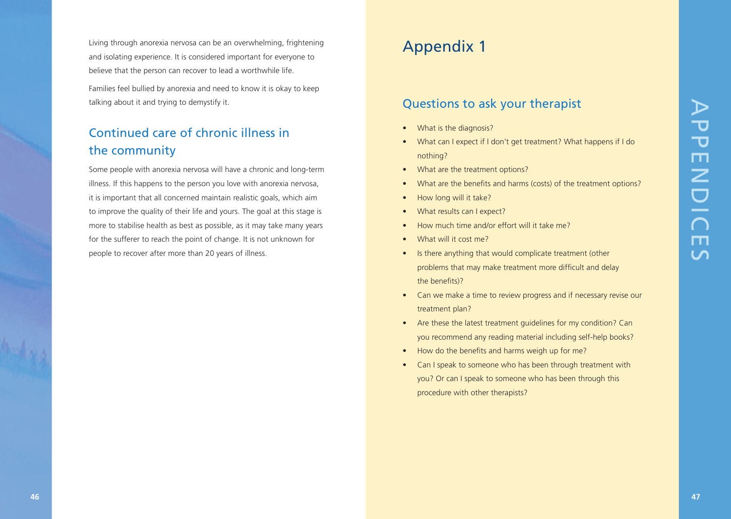Living through anorexia nervosa can be an overwhelming, frightening and isolating experience. It is considered important for everyone to believe that the person can recover to lead a worthwhile life.

Families feel bullied by anorexia and need to know it is okay to keep talking about it and trying to demystify it.

# Continued care of chronic illness in the community

Some people with anorexia nervosa will have a chronic and long-term illness. If this happens to the person you love with anorexia nervosa, it is important that all concerned maintain realistic goals, which aim to improve the quality of their life and yours. The goal at this stage is more to stabilise health as best as possible, as it may take many years for the sufferer to reach the point of change. It is not unknown for people to recover after more than 20 years of illness. **46 46 47**APPENDICES CONSULTED A **47**APPENDICES CONSULTED A **47A 47APPENDICES**<br>
47APPENDICES CONTINUES CONSULTED A CONSULTED A 47APPENDICES CONSULTED A 47APPENDICES CONSULTED A 47APPENDICES CONSULTED A 47APPENDICES

# Appendix 1

#### Questions to ask your therapist

- What is the diagnosis?
- What can I expect if I don't get treatment? What happens if I do nothing?
- What are the treatment options?
- What are the benefits and harms (costs) of the treatment options?
- How long will it take?
- What results can I expect?
- How much time and/or effort will it take me?
- What will it cost me?
- Is there anything that would complicate treatment (other problems that may make treatment more difficult and delay the benefits)?
- Can we make a time to review progress and if necessary revise our treatment plan?
- Are these the latest treatment guidelines for my condition? Can you recommend any reading material including self-help books?
- How do the benefits and harms weigh up for me?
- Can I speak to someone who has been through treatment with you? Or can I speak to someone who has been through this procedure with other therapists?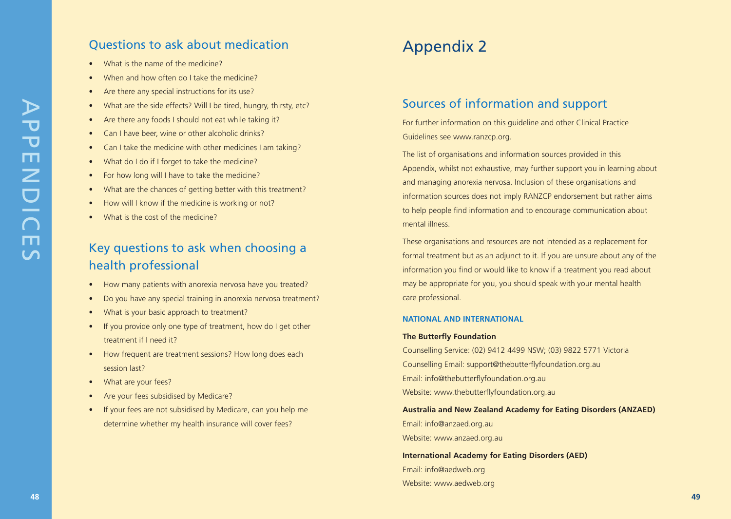### Questions to ask about medication

- What is the name of the medicine?
- When and how often do I take the medicine?
- Are there any special instructions for its use?
- What are the side effects? Will I be tired, hungry, thirsty, etc?
- Are there any foods I should not eat while taking it?
- Can I have beer, wine or other alcoholic drinks?
- Can I take the medicine with other medicines I am taking?
- What do I do if I forget to take the medicine?
- For how long will I have to take the medicine?
- What are the chances of getting better with this treatment?
- How will I know if the medicine is working or not?
- What is the cost of the medicine?

## Key questions to ask when choosing a health professional

- How many patients with anorexia nervosa have you treated?
- Do you have any special training in anorexia nervosa treatment?
- What is your basic approach to treatment?
- If you provide only one type of treatment, how do I get other treatment if I need it?
- How frequent are treatment sessions? How long does each session last?
- What are your fees?
- Are your fees subsidised by Medicare?
- If your fees are not subsidised by Medicare, can you help me determine whether my health insurance will cover fees?

# Appendix 2

#### Sources of information and support

For further information on this guideline and other Clinical Practice Guidelines see www.ranzcp.org.

The list of organisations and information sources provided in this Appendix, whilst not exhaustive, may further support you in learning about and managing anorexia nervosa. Inclusion of these organisations and information sources does not imply RANZCP endorsement but rather aims to help people find information and to encourage communication about mental illness.

These organisations and resources are not intended as a replacement for formal treatment but as an adjunct to it. If you are unsure about any of the information you find or would like to know if a treatment you read about may be appropriate for you, you should speak with your mental health care professional.

#### **NATIONAL AND INTERNATIONAL**

#### **The Butterfly Foundation**

Counselling Service: (02) 9412 4499 NSW; (03) 9822 5771 Victoria Counselling Email: support@thebutterflyfoundation.org.au Email: info@thebutterflyfoundation.org.au Website: www.thebutterflyfoundation.org.au

**Australia and New Zealand Academy for Eating Disorders (ANZAED)** Email: info@anzaed.org.au Website: www.anzaed.org.au

**International Academy for Eating Disorders (AED)** Email: info@aedweb.org Website: www.aedweb.org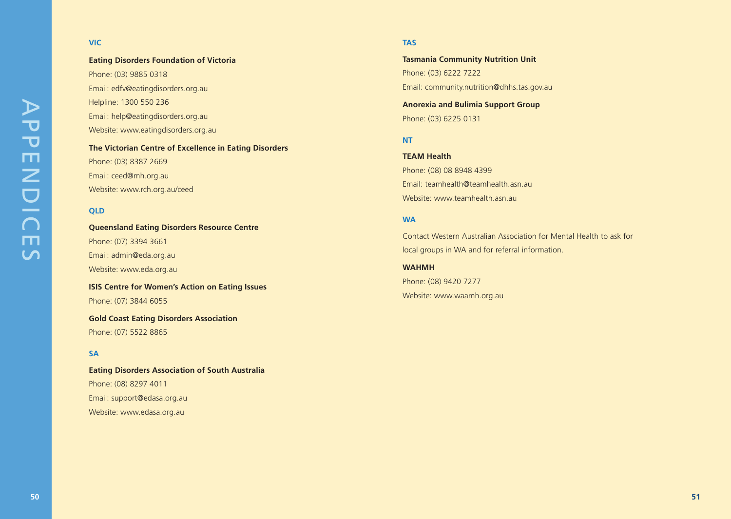# APPENDIC APPENDICES $m$  $\overline{u}$

#### **VIC**

**Eating Disorders Foundation of Victoria** Phone: (03) 9885 0318 Email: edfv@eatingdisorders.org.au Helpline: 1300 550 236 Email: help@eatingdisorders.org.au Website: www.eatingdisorders.org.au

**The Victorian Centre of Excellence in Eating Disorders** Phone: (03) 8387 2669 Email: ceed@mh.org.au Website: www.rch.org.au/ceed

#### **QLD**

**Queensland Eating Disorders Resource Centre** Phone: (07) 3394 3661 Email: admin@eda.org.au Website: www.eda.org.au

**ISIS Centre for Women's Action on Eating Issues** Phone: (07) 3844 6055

**Gold Coast Eating Disorders Association** Phone: (07) 5522 8865

#### **SA**

**Eating Disorders Association of South Australia**  Phone: (08) 8297 4011 Email: support@edasa.org.au Website: www.edasa.org.au

#### **TAS**

**Tasmania Community Nutrition Unit** Phone: (03) 6222 7222 Email: community.nutrition@dhhs.tas.gov.au

**Anorexia and Bulimia Support Group** Phone: (03) 6225 0131

#### **NT**

**TEAM Health** Phone: (08) 08 8948 4399 Email: teamhealth@teamhealth.asn.au Website: www.teamhealth.asn.au

#### **WA**

Contact Western Australian Association for Mental Health to ask for local groups in WA and for referral information.

**WAHMH** Phone: (08) 9420 7277 Website: www.waamh.org.au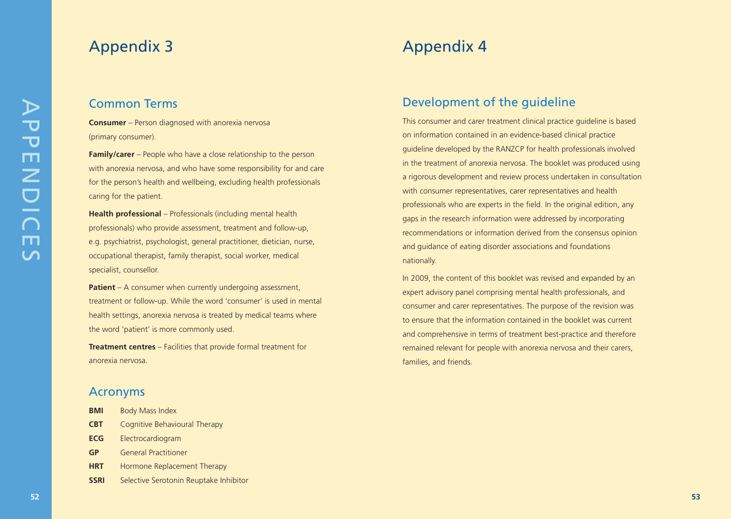# Appendix 3

#### Common Terms

**Consumer** – Person diagnosed with anorexia nervosa (primary consumer).

**Family/carer** – People who have a close relationship to the person with anorexia nervosa, and who have some responsibility for and care for the person's health and wellbeing, excluding health professionals caring for the patient.

**Health professional** – Professionals (including mental health professionals) who provide assessment, treatment and follow-up, e.g. psychiatrist, psychologist, general practitioner, dietician, nurse, occupational therapist, family therapist, social worker, medical specialist, counsellor.

**Patient** – A consumer when currently undergoing assessment, treatment or follow-up. While the word 'consumer' is used in mental health settings, anorexia nervosa is treated by medical teams where the word 'patient' is more commonly used.

**Treatment centres** – Facilities that provide formal treatment for anorexia nervosa.

#### Acronyms

| <b>BMI</b>  | <b>Body Mass Index</b>                 |
|-------------|----------------------------------------|
| <b>CBT</b>  | Cognitive Behavioural Therapy          |
| <b>ECG</b>  | Electrocardiogram                      |
| <b>GP</b>   | <b>General Practitioner</b>            |
| <b>HRT</b>  | Hormone Replacement Therapy            |
| <b>SSRI</b> | Selective Serotonin Reuptake Inhibitor |

# Appendix 4

#### Development of the guideline

This consumer and carer treatment clinical practice guideline is based on information contained in an evidence-based clinical practice guideline developed by the RANZCP for health professionals involved in the treatment of anorexia nervosa. The booklet was produced using a rigorous development and review process undertaken in consultation with consumer representatives, carer representatives and health professionals who are experts in the field. In the original edition, any gaps in the research information were addressed by incorporating recommendations or information derived from the consensus opinion and guidance of eating disorder associations and foundations nationally.

In 2009, the content of this booklet was revised and expanded by an expert advisory panel comprising mental health professionals, and consumer and carer representatives. The purpose of the revision was to ensure that the information contained in the booklet was current and comprehensive in terms of treatment best-practice and therefore remained relevant for people with anorexia nervosa and their carers, families, and friends.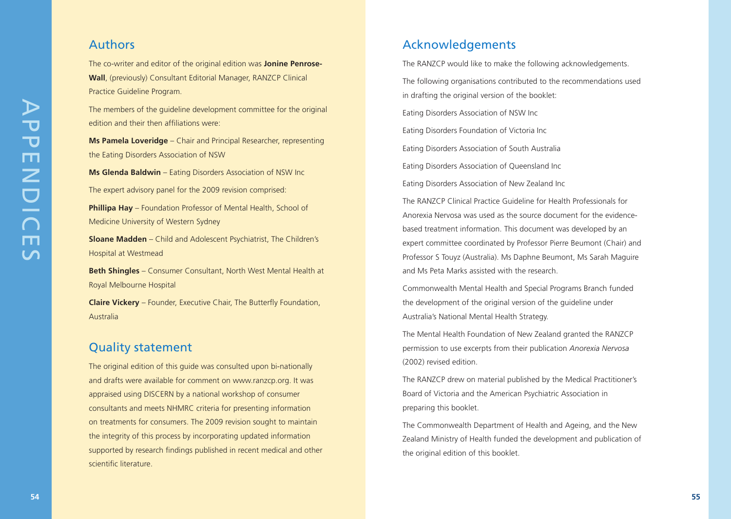#### Authors

The co-writer and editor of the original edition was **Jonine Penrose-Wall**, (previously) Consultant Editorial Manager, RANZCP Clinical Practice Guideline Program.

The members of the guideline development committee for the original edition and their then affiliations were:

**Ms Pamela Loveridge** – Chair and Principal Researcher, representing the Eating Disorders Association of NSW

**Ms Glenda Baldwin** – Eating Disorders Association of NSW Inc The expert advisory panel for the 2009 revision comprised:

**Phillipa Hay** – Foundation Professor of Mental Health, School of Medicine University of Western Sydney

**Sloane Madden** – Child and Adolescent Psychiatrist, The Children's Hospital at Westmead

**Beth Shingles** – Consumer Consultant, North West Mental Health at Royal Melbourne Hospital

**Claire Vickery** – Founder, Executive Chair, The Butterfly Foundation, Australia

#### Quality statement

The original edition of this guide was consulted upon bi-nationally and drafts were available for comment on www.ranzcp.org. It was appraised using DISCERN by a national workshop of consumer consultants and meets NHMRC criteria for presenting information on treatments for consumers. The 2009 revision sought to maintain the integrity of this process by incorporating updated information supported by research findings published in recent medical and other scientific literature.

#### Acknowledgements

The RANZCP would like to make the following acknowledgements. The following organisations contributed to the recommendations used in drafting the original version of the booklet: Eating Disorders Association of NSW Inc Eating Disorders Foundation of Victoria Inc Eating Disorders Association of South Australia Eating Disorders Association of Queensland Inc Eating Disorders Association of New Zealand Inc The RANZCP Clinical Practice Guideline for Health Professionals for

Anorexia Nervosa was used as the source document for the evidencebased treatment information. This document was developed by an expert committee coordinated by Professor Pierre Beumont (Chair) and Professor S Touyz (Australia). Ms Daphne Beumont, Ms Sarah Maguire and Ms Peta Marks assisted with the research.

Commonwealth Mental Health and Special Programs Branch funded the development of the original version of the guideline under Australia's National Mental Health Strategy.

The Mental Health Foundation of New Zealand granted the RANZCP permission to use excerpts from their publication *Anorexia Nervosa* (2002) revised edition.

The RANZCP drew on material published by the Medical Practitioner's Board of Victoria and the American Psychiatric Association in preparing this booklet.

The Commonwealth Department of Health and Ageing, and the New Zealand Ministry of Health funded the development and publication of the original edition of this booklet.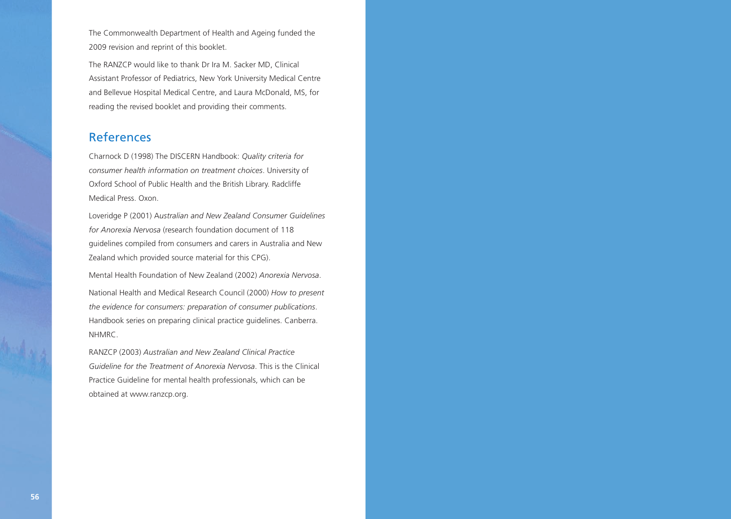The Commonwealth Department of Health and Ageing funded the 2009 revision and reprint of this booklet.

The RANZCP would like to thank Dr Ira M. Sacker MD, Clinical Assistant Professor of Pediatrics, New York University Medical Centre and Bellevue Hospital Medical Centre, and Laura McDonald, MS, for reading the revised booklet and providing their comments.

#### References

Charnock D (1998) The DISCERN Handbook: *Quality criteria for consumer health information on treatment choices*. University of Oxford School of Public Health and the British Library. Radcliffe Medical Press. Oxon.

Loveridge P (2001) A*ustralian and New Zealand Consumer Guidelines for Anorexia Nervosa* (research foundation document of 118 guidelines compiled from consumers and carers in Australia and New Zealand which provided source material for this CPG).

Mental Health Foundation of New Zealand (2002) *Anorexia Nervosa* .

National Health and Medical Research Council (2000) *How to present the evidence for consumers: preparation of consumer publications*. Handbook series on preparing clinical practice guidelines. Canberra. NHMRC.

RANZCP (2003) *Australian and New Zealand Clinical Practice Guideline for the Treatment of Anorexia Nervosa*. This is the Clinical Practice Guideline for mental health professionals, which can be obtained at www.ranzcp.org.